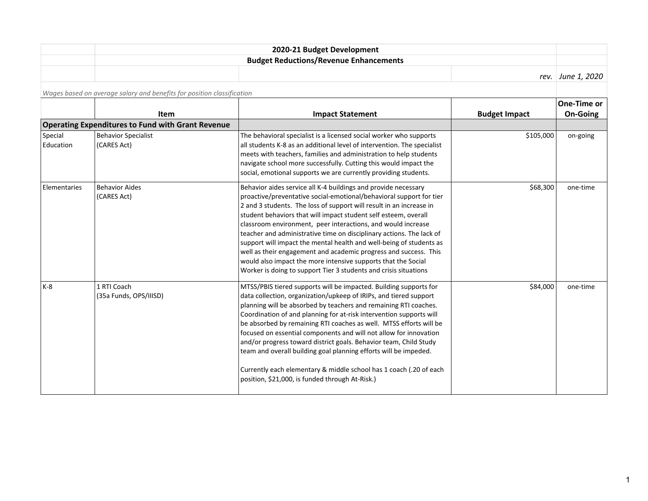| 2020-21 Budget Development                    |                     |
|-----------------------------------------------|---------------------|
| <b>Budget Reductions/Revenue Enhancements</b> |                     |
|                                               | rev.   June 1, 2020 |

*Wages based on average salary and benefits for position classification*

|                      |                                                          |                                                                                                                                                                                                                                                                                                                                                                                                                                                                                                                                                                                                                                                                                                         |                      | One-Time or     |
|----------------------|----------------------------------------------------------|---------------------------------------------------------------------------------------------------------------------------------------------------------------------------------------------------------------------------------------------------------------------------------------------------------------------------------------------------------------------------------------------------------------------------------------------------------------------------------------------------------------------------------------------------------------------------------------------------------------------------------------------------------------------------------------------------------|----------------------|-----------------|
|                      | Item                                                     | <b>Impact Statement</b>                                                                                                                                                                                                                                                                                                                                                                                                                                                                                                                                                                                                                                                                                 | <b>Budget Impact</b> | <b>On-Going</b> |
|                      | <b>Operating Expenditures to Fund with Grant Revenue</b> |                                                                                                                                                                                                                                                                                                                                                                                                                                                                                                                                                                                                                                                                                                         |                      |                 |
| Special<br>Education | <b>Behavior Specialist</b><br>(CARES Act)                | The behavioral specialist is a licensed social worker who supports<br>all students K-8 as an additional level of intervention. The specialist<br>meets with teachers, families and administration to help students<br>navigate school more successfully. Cutting this would impact the<br>social, emotional supports we are currently providing students.                                                                                                                                                                                                                                                                                                                                               | \$105,000            | on-going        |
| Elementaries         | <b>Behavior Aides</b><br>(CARES Act)                     | Behavior aides service all K-4 buildings and provide necessary<br>proactive/preventative social-emotional/behavioral support for tier<br>2 and 3 students. The loss of support will result in an increase in<br>student behaviors that will impact student self esteem, overall<br>classroom environment, peer interactions, and would increase<br>teacher and administrative time on disciplinary actions. The lack of<br>support will impact the mental health and well-being of students as<br>well as their engagement and academic progress and success. This<br>would also impact the more intensive supports that the Social<br>Worker is doing to support Tier 3 students and crisis situations | \$68,300             | one-time        |
| l K-8                | 1 RTI Coach<br>(35a Funds, OPS/IIISD)                    | MTSS/PBIS tiered supports will be impacted. Building supports for<br>data collection, organization/upkeep of IRIPs, and tiered support<br>planning will be absorbed by teachers and remaining RTI coaches.<br>Coordination of and planning for at-risk intervention supports will<br>be absorbed by remaining RTI coaches as well. MTSS efforts will be<br>focused on essential components and will not allow for innovation<br>and/or progress toward district goals. Behavior team, Child Study<br>team and overall building goal planning efforts will be impeded.<br>Currently each elementary & middle school has 1 coach (.20 of each<br>position, \$21,000, is funded through At-Risk.)          | \$84,000             | one-time        |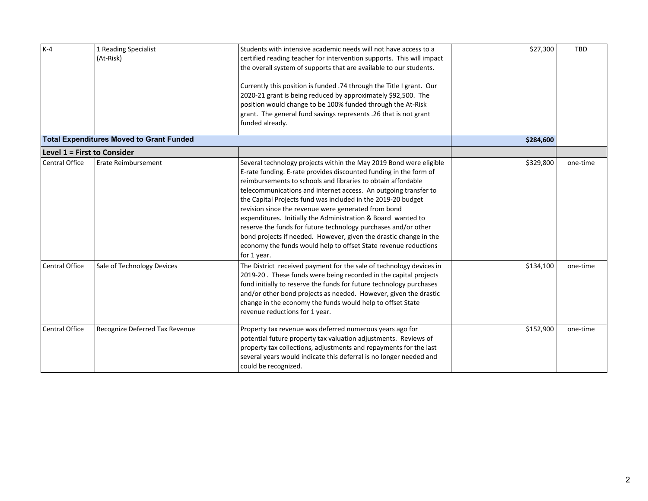| $k-4$                              | 1 Reading Specialist<br>(At-Risk)               | Students with intensive academic needs will not have access to a<br>certified reading teacher for intervention supports. This will impact<br>the overall system of supports that are available to our students.<br>Currently this position is funded .74 through the Title I grant. Our<br>2020-21 grant is being reduced by approximately \$92,500. The<br>position would change to be 100% funded through the At-Risk<br>grant. The general fund savings represents .26 that is not grant<br>funded already.                                                                                                                                                                             | \$27,300  | <b>TBD</b> |
|------------------------------------|-------------------------------------------------|--------------------------------------------------------------------------------------------------------------------------------------------------------------------------------------------------------------------------------------------------------------------------------------------------------------------------------------------------------------------------------------------------------------------------------------------------------------------------------------------------------------------------------------------------------------------------------------------------------------------------------------------------------------------------------------------|-----------|------------|
|                                    | <b>Total Expenditures Moved to Grant Funded</b> |                                                                                                                                                                                                                                                                                                                                                                                                                                                                                                                                                                                                                                                                                            | \$284,600 |            |
| <b>Level 1 = First to Consider</b> |                                                 |                                                                                                                                                                                                                                                                                                                                                                                                                                                                                                                                                                                                                                                                                            |           |            |
| <b>Central Office</b>              | Erate Reimbursement                             | Several technology projects within the May 2019 Bond were eligible<br>E-rate funding. E-rate provides discounted funding in the form of<br>reimbursements to schools and libraries to obtain affordable<br>telecommunications and internet access. An outgoing transfer to<br>the Capital Projects fund was included in the 2019-20 budget<br>revision since the revenue were generated from bond<br>expenditures. Initially the Administration & Board wanted to<br>reserve the funds for future technology purchases and/or other<br>bond projects if needed. However, given the drastic change in the<br>economy the funds would help to offset State revenue reductions<br>for 1 year. | \$329,800 | one-time   |
| <b>Central Office</b>              | Sale of Technology Devices                      | The District received payment for the sale of technology devices in<br>2019-20. These funds were being recorded in the capital projects<br>fund initially to reserve the funds for future technology purchases<br>and/or other bond projects as needed. However, given the drastic<br>change in the economy the funds would help to offset State<br>revenue reductions for 1 year.                                                                                                                                                                                                                                                                                                         | \$134,100 | one-time   |
| <b>Central Office</b>              | Recognize Deferred Tax Revenue                  | Property tax revenue was deferred numerous years ago for<br>potential future property tax valuation adjustments. Reviews of<br>property tax collections, adjustments and repayments for the last<br>several years would indicate this deferral is no longer needed and<br>could be recognized.                                                                                                                                                                                                                                                                                                                                                                                             | \$152,900 | one-time   |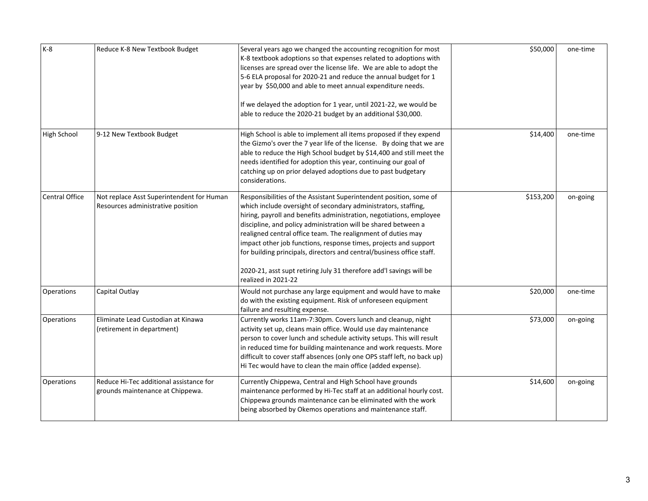| K-8                   | Reduce K-8 New Textbook Budget                                                 | Several years ago we changed the accounting recognition for most<br>K-8 textbook adoptions so that expenses related to adoptions with<br>licenses are spread over the license life. We are able to adopt the<br>5-6 ELA proposal for 2020-21 and reduce the annual budget for 1<br>year by \$50,000 and able to meet annual expenditure needs.<br>If we delayed the adoption for 1 year, until 2021-22, we would be<br>able to reduce the 2020-21 budget by an additional \$30,000.                                                                                                      | \$50,000  | one-time |
|-----------------------|--------------------------------------------------------------------------------|------------------------------------------------------------------------------------------------------------------------------------------------------------------------------------------------------------------------------------------------------------------------------------------------------------------------------------------------------------------------------------------------------------------------------------------------------------------------------------------------------------------------------------------------------------------------------------------|-----------|----------|
| High School           | 9-12 New Textbook Budget                                                       | High School is able to implement all items proposed if they expend<br>the Gizmo's over the 7 year life of the license. By doing that we are<br>able to reduce the High School budget by \$14,400 and still meet the<br>needs identified for adoption this year, continuing our goal of<br>catching up on prior delayed adoptions due to past budgetary<br>considerations.                                                                                                                                                                                                                | \$14,400  | one-time |
| <b>Central Office</b> | Not replace Asst Superintendent for Human<br>Resources administrative position | Responsibilities of the Assistant Superintendent position, some of<br>which include oversight of secondary administrators, staffing,<br>hiring, payroll and benefits administration, negotiations, employee<br>discipline, and policy administration will be shared between a<br>realigned central office team. The realignment of duties may<br>impact other job functions, response times, projects and support<br>for building principals, directors and central/business office staff.<br>2020-21, asst supt retiring July 31 therefore add'l savings will be<br>realized in 2021-22 | \$153,200 | on-going |
| Operations            | Capital Outlay                                                                 | Would not purchase any large equipment and would have to make<br>do with the existing equipment. Risk of unforeseen equipment<br>failure and resulting expense.                                                                                                                                                                                                                                                                                                                                                                                                                          | \$20,000  | one-time |
| Operations            | Eliminate Lead Custodian at Kinawa<br>(retirement in department)               | Currently works 11am-7:30pm. Covers lunch and cleanup, night<br>activity set up, cleans main office. Would use day maintenance<br>person to cover lunch and schedule activity setups. This will result<br>in reduced time for building maintenance and work requests. More<br>difficult to cover staff absences (only one OPS staff left, no back up)<br>Hi Tec would have to clean the main office (added expense).                                                                                                                                                                     | \$73,000  | on-going |
| Operations            | Reduce Hi-Tec additional assistance for<br>grounds maintenance at Chippewa.    | Currently Chippewa, Central and High School have grounds<br>maintenance performed by Hi-Tec staff at an additional hourly cost.<br>Chippewa grounds maintenance can be eliminated with the work<br>being absorbed by Okemos operations and maintenance staff.                                                                                                                                                                                                                                                                                                                            | \$14,600  | on-going |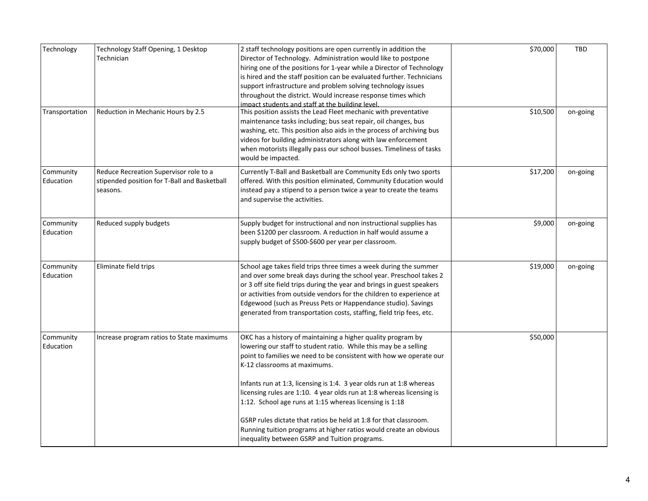| Technology             | Technology Staff Opening, 1 Desktop<br>Technician                                                  | 2 staff technology positions are open currently in addition the<br>Director of Technology. Administration would like to postpone<br>hiring one of the positions for 1-year while a Director of Technology<br>is hired and the staff position can be evaluated further. Technicians<br>support infrastructure and problem solving technology issues<br>throughout the district. Would increase response times which<br>impact students and staff at the building level.                                                                                                                                                                        | \$70,000 | <b>TBD</b> |
|------------------------|----------------------------------------------------------------------------------------------------|-----------------------------------------------------------------------------------------------------------------------------------------------------------------------------------------------------------------------------------------------------------------------------------------------------------------------------------------------------------------------------------------------------------------------------------------------------------------------------------------------------------------------------------------------------------------------------------------------------------------------------------------------|----------|------------|
| Transportation         | Reduction in Mechanic Hours by 2.5                                                                 | This position assists the Lead Fleet mechanic with preventative<br>maintenance tasks including; bus seat repair, oil changes, bus<br>washing, etc. This position also aids in the process of archiving bus<br>videos for building administrators along with law enforcement<br>when motorists illegally pass our school busses. Timeliness of tasks<br>would be impacted.                                                                                                                                                                                                                                                                     | \$10,500 | on-going   |
| Community<br>Education | Reduce Recreation Supervisor role to a<br>stipended position for T-Ball and Basketball<br>seasons. | Currently T-Ball and Basketball are Community Eds only two sports<br>offered. With this position eliminated, Community Education would<br>instead pay a stipend to a person twice a year to create the teams<br>and supervise the activities.                                                                                                                                                                                                                                                                                                                                                                                                 | \$17,200 | on-going   |
| Community<br>Education | Reduced supply budgets                                                                             | Supply budget for instructional and non instructional supplies has<br>been \$1200 per classroom. A reduction in half would assume a<br>supply budget of \$500-\$600 per year per classroom.                                                                                                                                                                                                                                                                                                                                                                                                                                                   | \$9,000  | on-going   |
| Community<br>Education | Eliminate field trips                                                                              | School age takes field trips three times a week during the summer<br>and over some break days during the school year. Preschool takes 2<br>or 3 off site field trips during the year and brings in guest speakers<br>or activities from outside vendors for the children to experience at<br>Edgewood (such as Preuss Pets or Happendance studio). Savings<br>generated from transportation costs, staffing, field trip fees, etc.                                                                                                                                                                                                            | \$19,000 | on-going   |
| Community<br>Education | Increase program ratios to State maximums                                                          | OKC has a history of maintaining a higher quality program by<br>lowering our staff to student ratio. While this may be a selling<br>point to families we need to be consistent with how we operate our<br>K-12 classrooms at maximums.<br>Infants run at 1:3, licensing is 1:4. 3 year olds run at 1:8 whereas<br>licensing rules are 1:10. 4 year olds run at 1:8 whereas licensing is<br>1:12. School age runs at 1:15 whereas licensing is 1:18<br>GSRP rules dictate that ratios be held at 1:8 for that classroom.<br>Running tuition programs at higher ratios would create an obvious<br>inequality between GSRP and Tuition programs. | \$50,000 |            |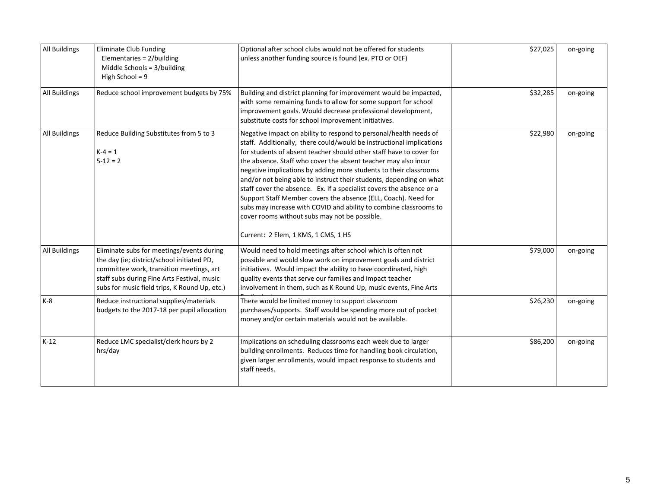| All Buildings        | Eliminate Club Funding<br>Elementaries = 2/building<br>Middle Schools = 3/building<br>High School = $9$                                                                                                                             | Optional after school clubs would not be offered for students<br>unless another funding source is found (ex. PTO or OEF)                                                                                                                                                                                                                                                                                                                                                                                                                                                                                                                                                                                                              | \$27,025 | on-going |
|----------------------|-------------------------------------------------------------------------------------------------------------------------------------------------------------------------------------------------------------------------------------|---------------------------------------------------------------------------------------------------------------------------------------------------------------------------------------------------------------------------------------------------------------------------------------------------------------------------------------------------------------------------------------------------------------------------------------------------------------------------------------------------------------------------------------------------------------------------------------------------------------------------------------------------------------------------------------------------------------------------------------|----------|----------|
| <b>All Buildings</b> | Reduce school improvement budgets by 75%                                                                                                                                                                                            | Building and district planning for improvement would be impacted,<br>with some remaining funds to allow for some support for school<br>improvement goals. Would decrease professional development,<br>substitute costs for school improvement initiatives.                                                                                                                                                                                                                                                                                                                                                                                                                                                                            | \$32,285 | on-going |
| All Buildings        | Reduce Building Substitutes from 5 to 3<br>$K - 4 = 1$<br>$5 - 12 = 2$                                                                                                                                                              | Negative impact on ability to respond to personal/health needs of<br>staff. Additionally, there could/would be instructional implications<br>for students of absent teacher should other staff have to cover for<br>the absence. Staff who cover the absent teacher may also incur<br>negative implications by adding more students to their classrooms<br>and/or not being able to instruct their students, depending on what<br>staff cover the absence. Ex. If a specialist covers the absence or a<br>Support Staff Member covers the absence (ELL, Coach). Need for<br>subs may increase with COVID and ability to combine classrooms to<br>cover rooms without subs may not be possible.<br>Current: 2 Elem, 1 KMS, 1 CMS, 1 HS | \$22,980 | on-going |
| All Buildings        | Eliminate subs for meetings/events during<br>the day (ie; district/school initiated PD,<br>committee work, transition meetings, art<br>staff subs during Fine Arts Festival, music<br>subs for music field trips, K Round Up, etc.) | Would need to hold meetings after school which is often not<br>possible and would slow work on improvement goals and district<br>initiatives. Would impact the ability to have coordinated, high<br>quality events that serve our families and impact teacher<br>involvement in them, such as K Round Up, music events, Fine Arts                                                                                                                                                                                                                                                                                                                                                                                                     | \$79,000 | on-going |
| K-8                  | Reduce instructional supplies/materials<br>budgets to the 2017-18 per pupil allocation                                                                                                                                              | There would be limited money to support classroom<br>purchases/supports. Staff would be spending more out of pocket<br>money and/or certain materials would not be available.                                                                                                                                                                                                                                                                                                                                                                                                                                                                                                                                                         | \$26,230 | on-going |
| $K-12$               | Reduce LMC specialist/clerk hours by 2<br>hrs/day                                                                                                                                                                                   | Implications on scheduling classrooms each week due to larger<br>building enrollments. Reduces time for handling book circulation,<br>given larger enrollments, would impact response to students and<br>staff needs.                                                                                                                                                                                                                                                                                                                                                                                                                                                                                                                 | \$86,200 | on-going |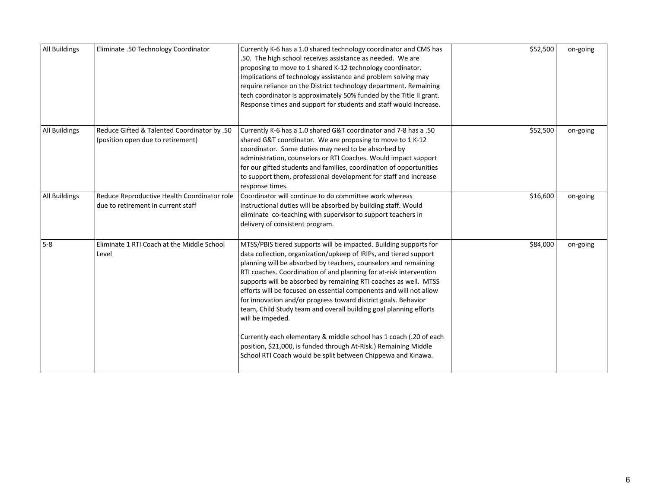| All Buildings | Eliminate .50 Technology Coordinator                                              | Currently K-6 has a 1.0 shared technology coordinator and CMS has<br>.50. The high school receives assistance as needed. We are<br>proposing to move to 1 shared K-12 technology coordinator.<br>Implications of technology assistance and problem solving may<br>require reliance on the District technology department. Remaining<br>tech coordinator is approximately 50% funded by the Title II grant.<br>Response times and support for students and staff would increase.                                                                                                                                                                                                                                                                                                                | \$52,500 | on-going |
|---------------|-----------------------------------------------------------------------------------|------------------------------------------------------------------------------------------------------------------------------------------------------------------------------------------------------------------------------------------------------------------------------------------------------------------------------------------------------------------------------------------------------------------------------------------------------------------------------------------------------------------------------------------------------------------------------------------------------------------------------------------------------------------------------------------------------------------------------------------------------------------------------------------------|----------|----------|
| All Buildings | Reduce Gifted & Talented Coordinator by .50<br>(position open due to retirement)  | Currently K-6 has a 1.0 shared G&T coordinator and 7-8 has a .50<br>shared G&T coordinator. We are proposing to move to 1 K-12<br>coordinator. Some duties may need to be absorbed by<br>administration, counselors or RTI Coaches. Would impact support<br>for our gifted students and families, coordination of opportunities<br>to support them, professional development for staff and increase<br>response times.                                                                                                                                                                                                                                                                                                                                                                         | \$52,500 | on-going |
| All Buildings | Reduce Reproductive Health Coordinator role<br>due to retirement in current staff | Coordinator will continue to do committee work whereas<br>instructional duties will be absorbed by building staff. Would<br>eliminate co-teaching with supervisor to support teachers in<br>delivery of consistent program.                                                                                                                                                                                                                                                                                                                                                                                                                                                                                                                                                                    | \$16,600 | on-going |
| 5-8           | Eliminate 1 RTI Coach at the Middle School<br>Level                               | MTSS/PBIS tiered supports will be impacted. Building supports for<br>data collection, organization/upkeep of IRIPs, and tiered support<br>planning will be absorbed by teachers, counselors and remaining<br>RTI coaches. Coordination of and planning for at-risk intervention<br>supports will be absorbed by remaining RTI coaches as well. MTSS<br>efforts will be focused on essential components and will not allow<br>for innovation and/or progress toward district goals. Behavior<br>team, Child Study team and overall building goal planning efforts<br>will be impeded.<br>Currently each elementary & middle school has 1 coach (.20 of each<br>position, \$21,000, is funded through At-Risk.) Remaining Middle<br>School RTI Coach would be split between Chippewa and Kinawa. | \$84,000 | on-going |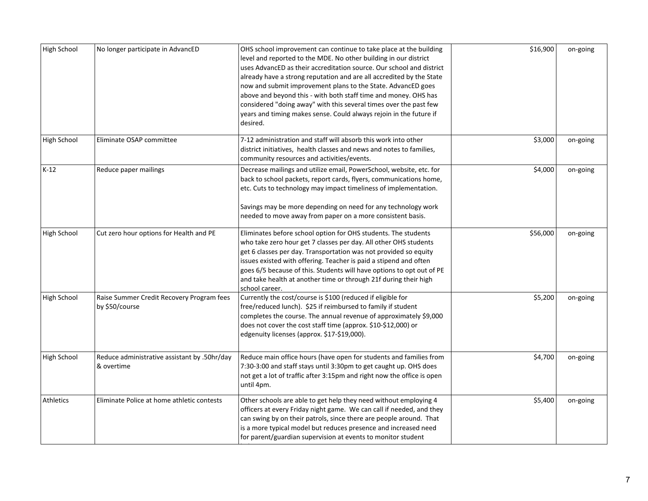| High School | No longer participate in AdvancED                           | OHS school improvement can continue to take place at the building<br>level and reported to the MDE. No other building in our district<br>uses AdvancED as their accreditation source. Our school and district<br>already have a strong reputation and are all accredited by the State<br>now and submit improvement plans to the State. AdvancED goes<br>above and beyond this - with both staff time and money. OHS has<br>considered "doing away" with this several times over the past few<br>years and timing makes sense. Could always rejoin in the future if<br>desired. | \$16,900 | on-going |
|-------------|-------------------------------------------------------------|---------------------------------------------------------------------------------------------------------------------------------------------------------------------------------------------------------------------------------------------------------------------------------------------------------------------------------------------------------------------------------------------------------------------------------------------------------------------------------------------------------------------------------------------------------------------------------|----------|----------|
| High School | Eliminate OSAP committee                                    | 7-12 administration and staff will absorb this work into other<br>district initiatives, health classes and news and notes to families,<br>community resources and activities/events.                                                                                                                                                                                                                                                                                                                                                                                            | \$3,000  | on-going |
| $K-12$      | Reduce paper mailings                                       | Decrease mailings and utilize email, PowerSchool, website, etc. for<br>back to school packets, report cards, flyers, communications home,<br>etc. Cuts to technology may impact timeliness of implementation.<br>Savings may be more depending on need for any technology work<br>needed to move away from paper on a more consistent basis.                                                                                                                                                                                                                                    | \$4,000  | on-going |
| High School | Cut zero hour options for Health and PE                     | Eliminates before school option for OHS students. The students<br>who take zero hour get 7 classes per day. All other OHS students<br>get 6 classes per day. Transportation was not provided so equity<br>issues existed with offering. Teacher is paid a stipend and often<br>goes 6/5 because of this. Students will have options to opt out of PE<br>and take health at another time or through 21f during their high<br>school career.                                                                                                                                      | \$56,000 | on-going |
| High School | Raise Summer Credit Recovery Program fees<br>by \$50/course | Currently the cost/course is \$100 (reduced if eligible for<br>free/reduced lunch). \$25 if reimbursed to family if student<br>completes the course. The annual revenue of approximately \$9,000<br>does not cover the cost staff time (approx. \$10-\$12,000) or<br>edgenuity licenses (approx. \$17-\$19,000).                                                                                                                                                                                                                                                                | \$5,200  | on-going |
| High School | Reduce administrative assistant by .50hr/day<br>& overtime  | Reduce main office hours (have open for students and families from<br>7:30-3:00 and staff stays until 3:30pm to get caught up. OHS does<br>not get a lot of traffic after 3:15pm and right now the office is open<br>until 4pm.                                                                                                                                                                                                                                                                                                                                                 | \$4,700  | on-going |
| Athletics   | Eliminate Police at home athletic contests                  | Other schools are able to get help they need without employing 4<br>officers at every Friday night game. We can call if needed, and they<br>can swing by on their patrols, since there are people around. That<br>is a more typical model but reduces presence and increased need<br>for parent/guardian supervision at events to monitor student                                                                                                                                                                                                                               | \$5,400  | on-going |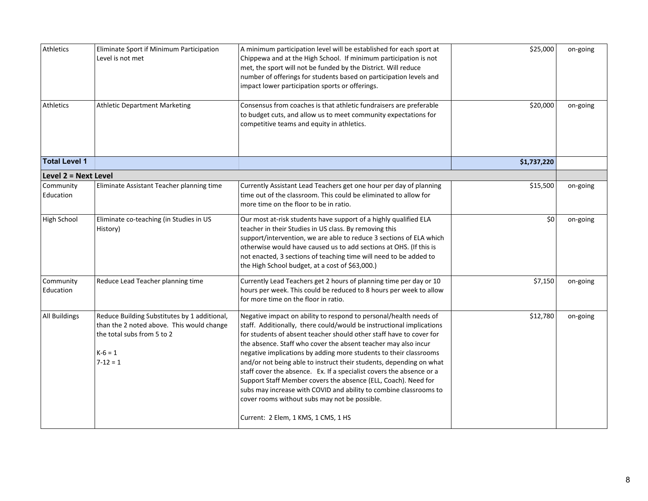| Athletics              | Eliminate Sport if Minimum Participation<br>Level is not met                                                                                       | A minimum participation level will be established for each sport at<br>Chippewa and at the High School. If minimum participation is not<br>met, the sport will not be funded by the District. Will reduce<br>number of offerings for students based on participation levels and<br>impact lower participation sports or offerings.                                                                                                                                                                                                                                                                                                                                                                                                    | \$25,000    | on-going |
|------------------------|----------------------------------------------------------------------------------------------------------------------------------------------------|---------------------------------------------------------------------------------------------------------------------------------------------------------------------------------------------------------------------------------------------------------------------------------------------------------------------------------------------------------------------------------------------------------------------------------------------------------------------------------------------------------------------------------------------------------------------------------------------------------------------------------------------------------------------------------------------------------------------------------------|-------------|----------|
| <b>Athletics</b>       | <b>Athletic Department Marketing</b>                                                                                                               | Consensus from coaches is that athletic fundraisers are preferable<br>to budget cuts, and allow us to meet community expectations for<br>competitive teams and equity in athletics.                                                                                                                                                                                                                                                                                                                                                                                                                                                                                                                                                   | \$20,000    | on-going |
| <b>Total Level 1</b>   |                                                                                                                                                    |                                                                                                                                                                                                                                                                                                                                                                                                                                                                                                                                                                                                                                                                                                                                       | \$1,737,220 |          |
| Level 2 = Next Level   |                                                                                                                                                    |                                                                                                                                                                                                                                                                                                                                                                                                                                                                                                                                                                                                                                                                                                                                       |             |          |
| Community<br>Education | Eliminate Assistant Teacher planning time                                                                                                          | Currently Assistant Lead Teachers get one hour per day of planning<br>time out of the classroom. This could be eliminated to allow for<br>more time on the floor to be in ratio.                                                                                                                                                                                                                                                                                                                                                                                                                                                                                                                                                      | \$15,500    | on-going |
| High School            | Eliminate co-teaching (in Studies in US<br>History)                                                                                                | Our most at-risk students have support of a highly qualified ELA<br>teacher in their Studies in US class. By removing this<br>support/intervention, we are able to reduce 3 sections of ELA which<br>otherwise would have caused us to add sections at OHS. (If this is<br>not enacted, 3 sections of teaching time will need to be added to<br>the High School budget, at a cost of \$63,000.)                                                                                                                                                                                                                                                                                                                                       | \$0         | on-going |
| Community<br>Education | Reduce Lead Teacher planning time                                                                                                                  | Currently Lead Teachers get 2 hours of planning time per day or 10<br>hours per week. This could be reduced to 8 hours per week to allow<br>for more time on the floor in ratio.                                                                                                                                                                                                                                                                                                                                                                                                                                                                                                                                                      | \$7,150     | on-going |
| All Buildings          | Reduce Building Substitutes by 1 additional,<br>than the 2 noted above. This would change<br>the total subs from 5 to 2<br>$K-6=1$<br>$7 - 12 = 1$ | Negative impact on ability to respond to personal/health needs of<br>staff. Additionally, there could/would be instructional implications<br>for students of absent teacher should other staff have to cover for<br>the absence. Staff who cover the absent teacher may also incur<br>negative implications by adding more students to their classrooms<br>and/or not being able to instruct their students, depending on what<br>staff cover the absence. Ex. If a specialist covers the absence or a<br>Support Staff Member covers the absence (ELL, Coach). Need for<br>subs may increase with COVID and ability to combine classrooms to<br>cover rooms without subs may not be possible.<br>Current: 2 Elem, 1 KMS, 1 CMS, 1 HS | \$12,780    | on-going |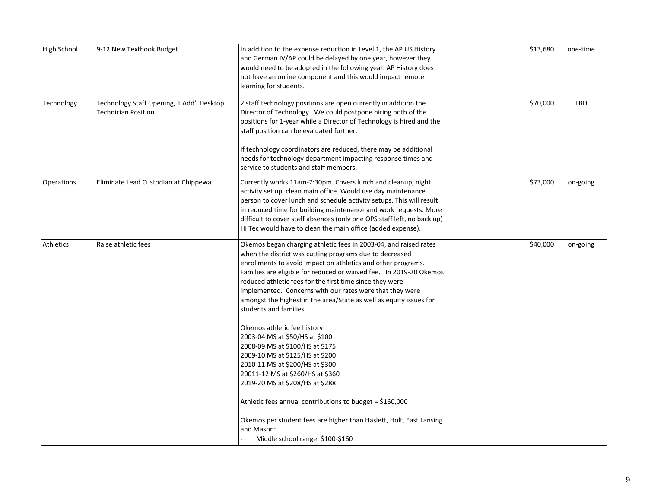| High School | 9-12 New Textbook Budget                                                | In addition to the expense reduction in Level 1, the AP US History<br>and German IV/AP could be delayed by one year, however they<br>would need to be adopted in the following year. AP History does<br>not have an online component and this would impact remote<br>learning for students.                                                                                                                                                                                                                                                                                                                                                                          | \$13,680 | one-time   |
|-------------|-------------------------------------------------------------------------|----------------------------------------------------------------------------------------------------------------------------------------------------------------------------------------------------------------------------------------------------------------------------------------------------------------------------------------------------------------------------------------------------------------------------------------------------------------------------------------------------------------------------------------------------------------------------------------------------------------------------------------------------------------------|----------|------------|
| Technology  | Technology Staff Opening, 1 Add'l Desktop<br><b>Technician Position</b> | 2 staff technology positions are open currently in addition the<br>Director of Technology. We could postpone hiring both of the<br>positions for 1-year while a Director of Technology is hired and the<br>staff position can be evaluated further.                                                                                                                                                                                                                                                                                                                                                                                                                  | \$70,000 | <b>TBD</b> |
|             |                                                                         | If technology coordinators are reduced, there may be additional<br>needs for technology department impacting response times and<br>service to students and staff members.                                                                                                                                                                                                                                                                                                                                                                                                                                                                                            |          |            |
| Operations  | Eliminate Lead Custodian at Chippewa                                    | Currently works 11am-7:30pm. Covers lunch and cleanup, night<br>activity set up, clean main office. Would use day maintenance<br>person to cover lunch and schedule activity setups. This will result<br>in reduced time for building maintenance and work requests. More<br>difficult to cover staff absences (only one OPS staff left, no back up)<br>Hi Tec would have to clean the main office (added expense).                                                                                                                                                                                                                                                  | \$73,000 | on-going   |
| Athletics   | Raise athletic fees                                                     | Okemos began charging athletic fees in 2003-04, and raised rates<br>when the district was cutting programs due to decreased<br>enrollments to avoid impact on athletics and other programs.<br>Families are eligible for reduced or waived fee. In 2019-20 Okemos<br>reduced athletic fees for the first time since they were<br>implemented. Concerns with our rates were that they were<br>amongst the highest in the area/State as well as equity issues for<br>students and families.<br>Okemos athletic fee history:<br>2003-04 MS at \$50/HS at \$100<br>2008-09 MS at \$100/HS at \$175<br>2009-10 MS at \$125/HS at \$200<br>2010-11 MS at \$200/HS at \$300 | \$40,000 | on-going   |
|             |                                                                         | 20011-12 MS at \$260/HS at \$360<br>2019-20 MS at \$208/HS at \$288<br>Athletic fees annual contributions to budget = \$160,000<br>Okemos per student fees are higher than Haslett, Holt, East Lansing<br>and Mason:<br>Middle school range: \$100-\$160                                                                                                                                                                                                                                                                                                                                                                                                             |          |            |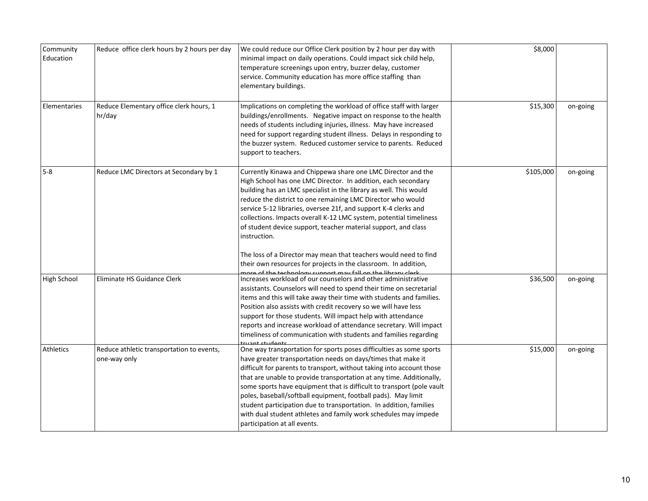| Community<br>Education | Reduce office clerk hours by 2 hours per day              | We could reduce our Office Clerk position by 2 hour per day with<br>minimal impact on daily operations. Could impact sick child help,<br>temperature screenings upon entry, buzzer delay, customer<br>service. Community education has more office staffing than<br>elementary buildings.                                                                                                                                                                                                                                                                                                                                           | \$8,000   |          |
|------------------------|-----------------------------------------------------------|-------------------------------------------------------------------------------------------------------------------------------------------------------------------------------------------------------------------------------------------------------------------------------------------------------------------------------------------------------------------------------------------------------------------------------------------------------------------------------------------------------------------------------------------------------------------------------------------------------------------------------------|-----------|----------|
| Elementaries           | Reduce Elementary office clerk hours, 1<br>hr/day         | Implications on completing the workload of office staff with larger<br>buildings/enrollments. Negative impact on response to the health<br>needs of students including injuries, illness. May have increased<br>need for support regarding student illness. Delays in responding to<br>the buzzer system. Reduced customer service to parents. Reduced<br>support to teachers.                                                                                                                                                                                                                                                      | \$15,300  | on-going |
| 5-8                    | Reduce LMC Directors at Secondary by 1                    | Currently Kinawa and Chippewa share one LMC Director and the<br>High School has one LMC Director. In addition, each secondary<br>building has an LMC specialist in the library as well. This would<br>reduce the district to one remaining LMC Director who would<br>service 5-12 libraries, oversee 21f, and support K-4 clerks and<br>collections. Impacts overall K-12 LMC system, potential timeliness<br>of student device support, teacher material support, and class<br>instruction.<br>The loss of a Director may mean that teachers would need to find<br>their own resources for projects in the classroom. In addition, | \$105,000 | on-going |
| High School            | Eliminate HS Guidance Clerk                               | nore of the technology cunnert may fall on the library clork<br>Increases workload of our counselors and other administrative<br>assistants. Counselors will need to spend their time on secretarial<br>items and this will take away their time with students and families.<br>Position also assists with credit recovery so we will have less<br>support for those students. Will impact help with attendance<br>reports and increase workload of attendance secretary. Will impact<br>timeliness of communication with students and families regarding<br>ruant student                                                          | \$36,500  | on-going |
| <b>Athletics</b>       | Reduce athletic transportation to events,<br>one-way only | One way transportation for sports poses difficulties as some sports<br>have greater transportation needs on days/times that make it<br>difficult for parents to transport, without taking into account those<br>that are unable to provide transportation at any time. Additionally,<br>some sports have equipment that is difficult to transport (pole vault<br>poles, baseball/softball equipment, football pads). May limit<br>student participation due to transportation. In addition, families<br>with dual student athletes and family work schedules may impede<br>participation at all events.                             | \$15,000  | on-going |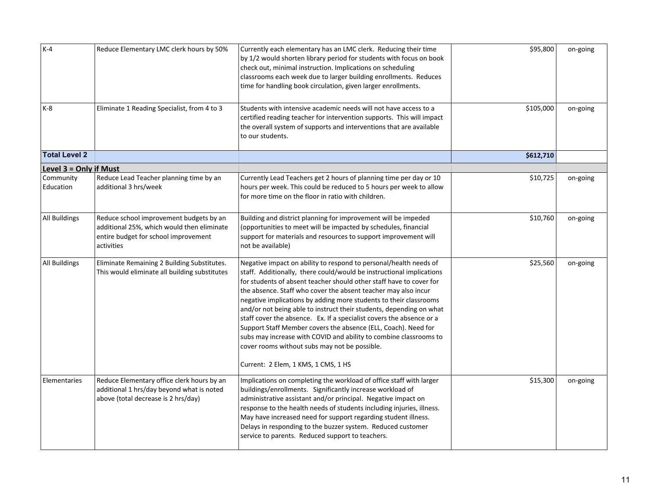| $K-4$                  |                                               |                                                                       |           |          |
|------------------------|-----------------------------------------------|-----------------------------------------------------------------------|-----------|----------|
|                        | Reduce Elementary LMC clerk hours by 50%      | Currently each elementary has an LMC clerk. Reducing their time       | \$95,800  | on-going |
|                        |                                               | by 1/2 would shorten library period for students with focus on book   |           |          |
|                        |                                               | check out, minimal instruction. Implications on scheduling            |           |          |
|                        |                                               | classrooms each week due to larger building enrollments. Reduces      |           |          |
|                        |                                               | time for handling book circulation, given larger enrollments.         |           |          |
| K-8                    | Eliminate 1 Reading Specialist, from 4 to 3   | Students with intensive academic needs will not have access to a      | \$105,000 | on-going |
|                        |                                               | certified reading teacher for intervention supports. This will impact |           |          |
|                        |                                               | the overall system of supports and interventions that are available   |           |          |
|                        |                                               |                                                                       |           |          |
|                        |                                               | to our students.                                                      |           |          |
| <b>Total Level 2</b>   |                                               |                                                                       | \$612,710 |          |
| Level 3 = Only if Must |                                               |                                                                       |           |          |
| Community              | Reduce Lead Teacher planning time by an       | Currently Lead Teachers get 2 hours of planning time per day or 10    | \$10,725  | on-going |
| Education              | additional 3 hrs/week                         | hours per week. This could be reduced to 5 hours per week to allow    |           |          |
|                        |                                               | for more time on the floor in ratio with children.                    |           |          |
| All Buildings          | Reduce school improvement budgets by an       | Building and district planning for improvement will be impeded        | \$10,760  | on-going |
|                        | additional 25%, which would then eliminate    | (opportunities to meet will be impacted by schedules, financial       |           |          |
|                        |                                               |                                                                       |           |          |
|                        | entire budget for school improvement          | support for materials and resources to support improvement will       |           |          |
|                        | activities                                    | not be available)                                                     |           |          |
| All Buildings          | Eliminate Remaining 2 Building Substitutes.   | Negative impact on ability to respond to personal/health needs of     | \$25,560  | on-going |
|                        | This would eliminate all building substitutes | staff. Additionally, there could/would be instructional implications  |           |          |
|                        |                                               | for students of absent teacher should other staff have to cover for   |           |          |
|                        |                                               | the absence. Staff who cover the absent teacher may also incur        |           |          |
|                        |                                               | negative implications by adding more students to their classrooms     |           |          |
|                        |                                               | and/or not being able to instruct their students, depending on what   |           |          |
|                        |                                               | staff cover the absence. Ex. If a specialist covers the absence or a  |           |          |
|                        |                                               | Support Staff Member covers the absence (ELL, Coach). Need for        |           |          |
|                        |                                               | subs may increase with COVID and ability to combine classrooms to     |           |          |
|                        |                                               | cover rooms without subs may not be possible.                         |           |          |
|                        |                                               |                                                                       |           |          |
|                        |                                               | Current: 2 Elem, 1 KMS, 1 CMS, 1 HS                                   |           |          |
| Elementaries           | Reduce Elementary office clerk hours by an    | Implications on completing the workload of office staff with larger   | \$15,300  | on-going |
|                        | additional 1 hrs/day beyond what is noted     | buildings/enrollments. Significantly increase workload of             |           |          |
|                        | above (total decrease is 2 hrs/day)           | administrative assistant and/or principal. Negative impact on         |           |          |
|                        |                                               | response to the health needs of students including injuries, illness. |           |          |
|                        |                                               | May have increased need for support regarding student illness.        |           |          |
|                        |                                               | Delays in responding to the buzzer system. Reduced customer           |           |          |
|                        |                                               | service to parents. Reduced support to teachers.                      |           |          |
|                        |                                               |                                                                       |           |          |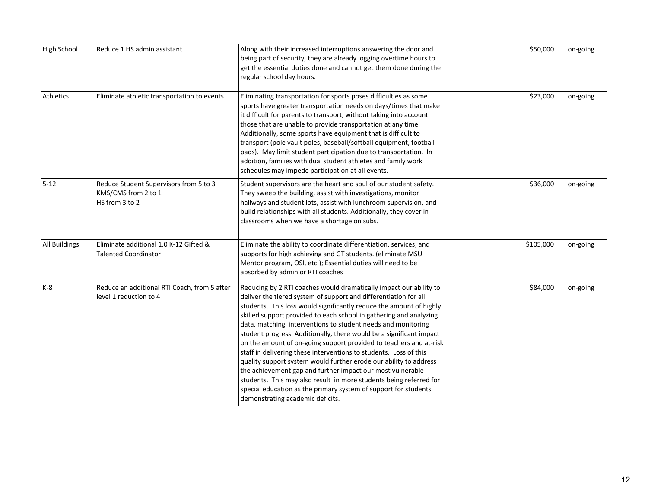|               | Reduce 1 HS admin assistant                  |                                                                                                                                       |           |          |
|---------------|----------------------------------------------|---------------------------------------------------------------------------------------------------------------------------------------|-----------|----------|
| High School   |                                              | Along with their increased interruptions answering the door and<br>being part of security, they are already logging overtime hours to | \$50,000  | on-going |
|               |                                              | get the essential duties done and cannot get them done during the                                                                     |           |          |
|               |                                              | regular school day hours.                                                                                                             |           |          |
|               |                                              |                                                                                                                                       |           |          |
| Athletics     | Eliminate athletic transportation to events  | Eliminating transportation for sports poses difficulties as some                                                                      | \$23,000  | on-going |
|               |                                              | sports have greater transportation needs on days/times that make                                                                      |           |          |
|               |                                              | it difficult for parents to transport, without taking into account                                                                    |           |          |
|               |                                              | those that are unable to provide transportation at any time.                                                                          |           |          |
|               |                                              | Additionally, some sports have equipment that is difficult to                                                                         |           |          |
|               |                                              | transport (pole vault poles, baseball/softball equipment, football                                                                    |           |          |
|               |                                              | pads). May limit student participation due to transportation. In                                                                      |           |          |
|               |                                              | addition, families with dual student athletes and family work                                                                         |           |          |
|               |                                              | schedules may impede participation at all events.                                                                                     |           |          |
| 5-12          | Reduce Student Supervisors from 5 to 3       | Student supervisors are the heart and soul of our student safety.                                                                     | \$36,000  | on-going |
|               | KMS/CMS from 2 to 1                          | They sweep the building, assist with investigations, monitor                                                                          |           |          |
|               | HS from 3 to 2                               | hallways and student lots, assist with lunchroom supervision, and                                                                     |           |          |
|               |                                              | build relationships with all students. Additionally, they cover in                                                                    |           |          |
|               |                                              | classrooms when we have a shortage on subs.                                                                                           |           |          |
| All Buildings | Eliminate additional 1.0 K-12 Gifted &       | Eliminate the ability to coordinate differentiation, services, and                                                                    | \$105,000 | on-going |
|               | <b>Talented Coordinator</b>                  | supports for high achieving and GT students. (eliminate MSU                                                                           |           |          |
|               |                                              | Mentor program, OSI, etc.); Essential duties will need to be                                                                          |           |          |
|               |                                              | absorbed by admin or RTI coaches                                                                                                      |           |          |
| K-8           | Reduce an additional RTI Coach, from 5 after | Reducing by 2 RTI coaches would dramatically impact our ability to                                                                    | \$84,000  | on-going |
|               | level 1 reduction to 4                       | deliver the tiered system of support and differentiation for all                                                                      |           |          |
|               |                                              | students. This loss would significantly reduce the amount of highly                                                                   |           |          |
|               |                                              | skilled support provided to each school in gathering and analyzing                                                                    |           |          |
|               |                                              | data, matching interventions to student needs and monitoring                                                                          |           |          |
|               |                                              | student progress. Additionally, there would be a significant impact                                                                   |           |          |
|               |                                              | on the amount of on-going support provided to teachers and at-risk                                                                    |           |          |
|               |                                              | staff in delivering these interventions to students. Loss of this                                                                     |           |          |
|               |                                              | quality support system would further erode our ability to address                                                                     |           |          |
|               |                                              | the achievement gap and further impact our most vulnerable                                                                            |           |          |
|               |                                              | students. This may also result in more students being referred for                                                                    |           |          |
|               |                                              | special education as the primary system of support for students                                                                       |           |          |
|               |                                              | demonstrating academic deficits.                                                                                                      |           |          |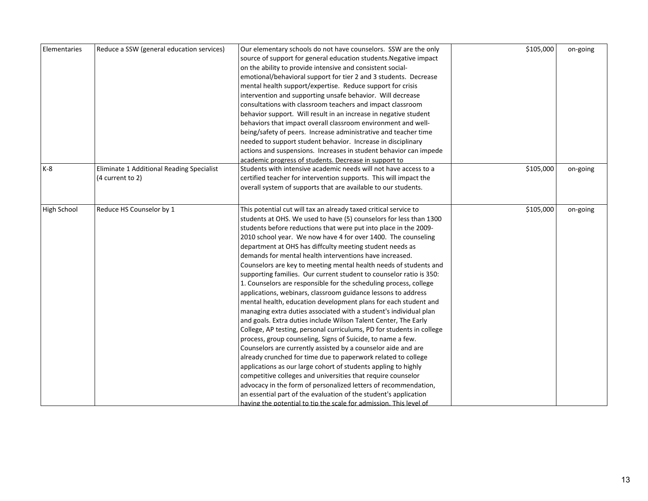| Elementaries | Reduce a SSW (general education services) | Our elementary schools do not have counselors. SSW are the only       | \$105,000 | on-going |
|--------------|-------------------------------------------|-----------------------------------------------------------------------|-----------|----------|
|              |                                           | source of support for general education students. Negative impact     |           |          |
|              |                                           | on the ability to provide intensive and consistent social-            |           |          |
|              |                                           | emotional/behavioral support for tier 2 and 3 students. Decrease      |           |          |
|              |                                           | mental health support/expertise. Reduce support for crisis            |           |          |
|              |                                           | intervention and supporting unsafe behavior. Will decrease            |           |          |
|              |                                           | consultations with classroom teachers and impact classroom            |           |          |
|              |                                           | behavior support. Will result in an increase in negative student      |           |          |
|              |                                           | behaviors that impact overall classroom environment and well-         |           |          |
|              |                                           | being/safety of peers. Increase administrative and teacher time       |           |          |
|              |                                           | needed to support student behavior. Increase in disciplinary          |           |          |
|              |                                           | actions and suspensions. Increases in student behavior can impede     |           |          |
|              |                                           | academic progress of students. Decrease in support to                 |           |          |
| K-8          | Eliminate 1 Additional Reading Specialist | Students with intensive academic needs will not have access to a      | \$105,000 | on-going |
|              | (4 current to 2)                          | certified teacher for intervention supports. This will impact the     |           |          |
|              |                                           | overall system of supports that are available to our students.        |           |          |
|              |                                           |                                                                       |           |          |
| High School  | Reduce HS Counselor by 1                  | This potential cut will tax an already taxed critical service to      | \$105,000 | on-going |
|              |                                           | students at OHS. We used to have (5) counselors for less than 1300    |           |          |
|              |                                           | students before reductions that were put into place in the 2009-      |           |          |
|              |                                           | 2010 school year. We now have 4 for over 1400. The counseling         |           |          |
|              |                                           | department at OHS has diffculty meeting student needs as              |           |          |
|              |                                           | demands for mental health interventions have increased.               |           |          |
|              |                                           | Counselors are key to meeting mental health needs of students and     |           |          |
|              |                                           | supporting families. Our current student to counselor ratio is 350:   |           |          |
|              |                                           | 1. Counselors are responsible for the scheduling process, college     |           |          |
|              |                                           | applications, webinars, classroom guidance lessons to address         |           |          |
|              |                                           | mental health, education development plans for each student and       |           |          |
|              |                                           | managing extra duties associated with a student's individual plan     |           |          |
|              |                                           | and goals. Extra duties include Wilson Talent Center, The Early       |           |          |
|              |                                           | College, AP testing, personal curriculums, PD for students in college |           |          |
|              |                                           | process, group counseling, Signs of Suicide, to name a few.           |           |          |
|              |                                           | Counselors are currently assisted by a counselor aide and are         |           |          |
|              |                                           | already crunched for time due to paperwork related to college         |           |          |
|              |                                           | applications as our large cohort of students appling to highly        |           |          |
|              |                                           | competitive colleges and universities that require counselor          |           |          |
|              |                                           | advocacy in the form of personalized letters of recommendation,       |           |          |
|              |                                           | an essential part of the evaluation of the student's application      |           |          |
|              |                                           | having the potential to tip the scale for admission. This level of    |           |          |